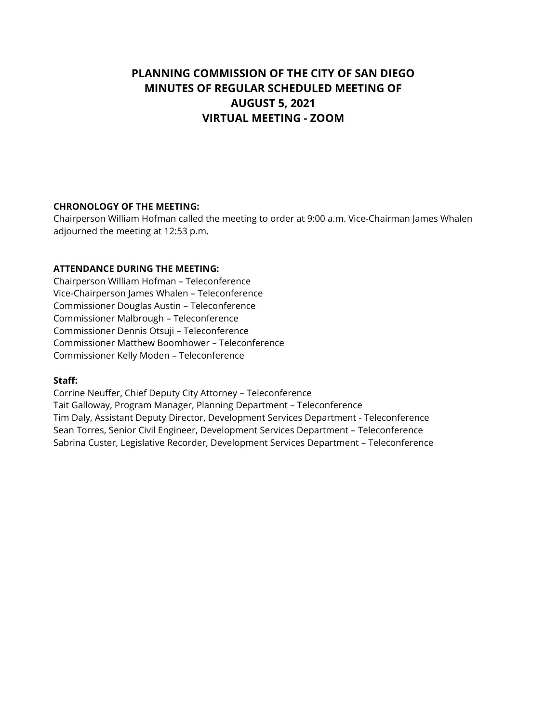# **PLANNING COMMISSION OF THE CITY OF SAN DIEGO MINUTES OF REGULAR SCHEDULED MEETING OF AUGUST 5, 2021 VIRTUAL MEETING - ZOOM**

## **CHRONOLOGY OF THE MEETING:**

Chairperson William Hofman called the meeting to order at 9:00 a.m. Vice-Chairman James Whalen adjourned the meeting at 12:53 p.m.

## **ATTENDANCE DURING THE MEETING:**

Chairperson William Hofman – Teleconference Vice-Chairperson James Whalen – Teleconference Commissioner Douglas Austin – Teleconference Commissioner Malbrough – Teleconference Commissioner Dennis Otsuji – Teleconference Commissioner Matthew Boomhower – Teleconference Commissioner Kelly Moden – Teleconference

### **Staff:**

Corrine Neuffer, Chief Deputy City Attorney – Teleconference Tait Galloway, Program Manager, Planning Department – Teleconference Tim Daly, Assistant Deputy Director, Development Services Department - Teleconference Sean Torres, Senior Civil Engineer, Development Services Department – Teleconference Sabrina Custer, Legislative Recorder, Development Services Department – Teleconference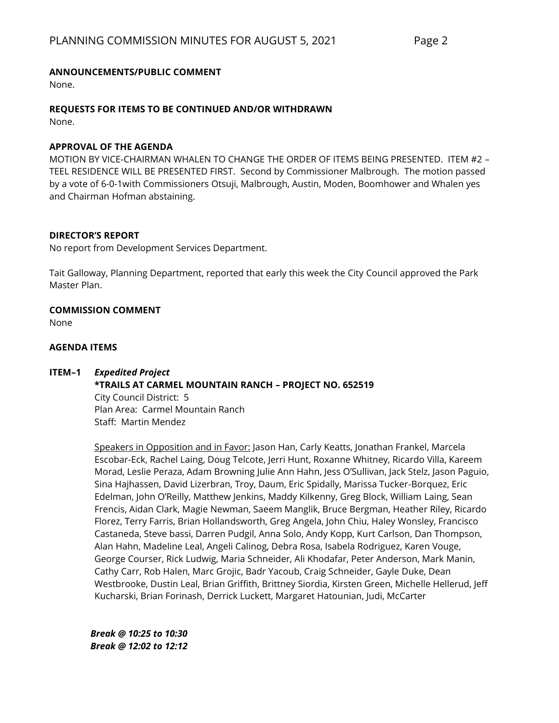## **ANNOUNCEMENTS/PUBLIC COMMENT**

None.

## **REQUESTS FOR ITEMS TO BE CONTINUED AND/OR WITHDRAWN**

None.

### **APPROVAL OF THE AGENDA**

MOTION BY VICE-CHAIRMAN WHALEN TO CHANGE THE ORDER OF ITEMS BEING PRESENTED. ITEM #2 – TEEL RESIDENCE WILL BE PRESENTED FIRST. Second by Commissioner Malbrough. The motion passed by a vote of 6-0-1with Commissioners Otsuji, Malbrough, Austin, Moden, Boomhower and Whalen yes and Chairman Hofman abstaining.

## **DIRECTOR'S REPORT**

No report from Development Services Department.

Tait Galloway, Planning Department, reported that early this week the City Council approved the Park Master Plan.

## **COMMISSION COMMENT**

None

### **AGENDA ITEMS**

### **ITEM–1** *Expedited Project*

## **\*TRAILS AT CARMEL MOUNTAIN RANCH – PROJECT NO. 652519**

City Council District: 5 Plan Area: Carmel Mountain Ranch Staff: Martin Mendez

Speakers in Opposition and in Favor: Jason Han, Carly Keatts, Jonathan Frankel, Marcela Escobar-Eck, Rachel Laing, Doug Telcote, Jerri Hunt, Roxanne Whitney, Ricardo Villa, Kareem Morad, Leslie Peraza, Adam Browning Julie Ann Hahn, Jess O'Sullivan, Jack Stelz, Jason Paguio, Sina Hajhassen, David Lizerbran, Troy, Daum, Eric Spidally, Marissa Tucker-Borquez, Eric Edelman, John O'Reilly, Matthew Jenkins, Maddy Kilkenny, Greg Block, William Laing, Sean Frencis, Aidan Clark, Magie Newman, Saeem Manglik, Bruce Bergman, Heather Riley, Ricardo Florez, Terry Farris, Brian Hollandsworth, Greg Angela, John Chiu, Haley Wonsley, Francisco Castaneda, Steve bassi, Darren Pudgil, Anna Solo, Andy Kopp, Kurt Carlson, Dan Thompson, Alan Hahn, Madeline Leal, Angeli Calinog, Debra Rosa, Isabela Rodriguez, Karen Vouge, George Courser, Rick Ludwig, Maria Schneider, Ali Khodafar, Peter Anderson, Mark Manin, Cathy Carr, Rob Halen, Marc Grojic, Badr Yacoub, Craig Schneider, Gayle Duke, Dean Westbrooke, Dustin Leal, Brian Griffith, Brittney Siordia, Kirsten Green, Michelle Hellerud, Jeff Kucharski, Brian Forinash, Derrick Luckett, Margaret Hatounian, Judi, McCarter

*Break @ 10:25 to 10:30 Break @ 12:02 to 12:12*